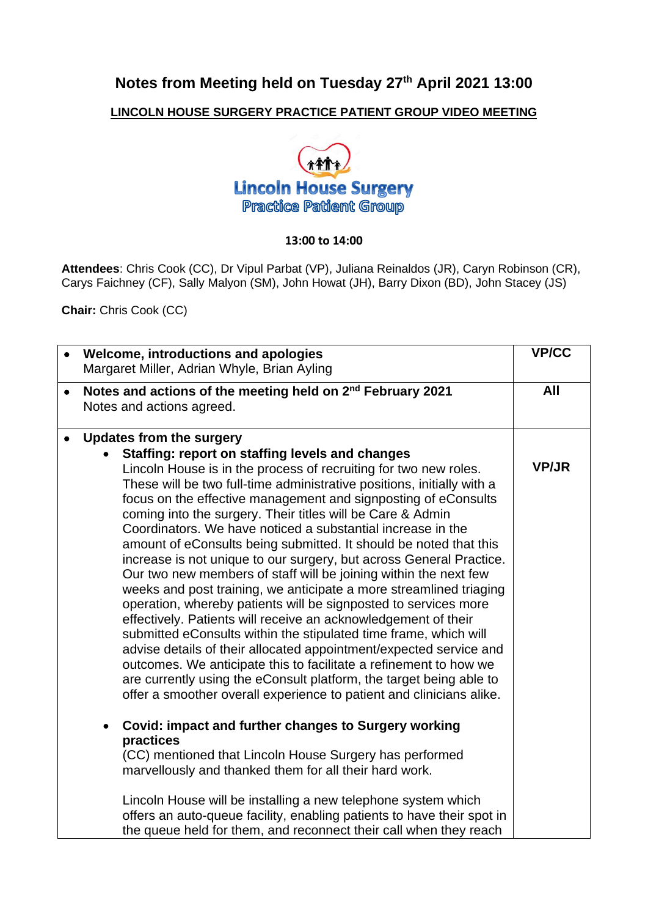## **Notes from Meeting held on Tuesday 27th April 2021 13:00**

## **LINCOLN HOUSE SURGERY PRACTICE PATIENT GROUP VIDEO MEETING**



## **13:00 to 14:00**

**Attendees**: Chris Cook (CC), Dr Vipul Parbat (VP), Juliana Reinaldos (JR), Caryn Robinson (CR), Carys Faichney (CF), Sally Malyon (SM), John Howat (JH), Barry Dixon (BD), John Stacey (JS)

**Chair:** Chris Cook (CC)

|           | Welcome, introductions and apologies<br>Margaret Miller, Adrian Whyle, Brian Ayling                                                                                                                                                                                                                                                                                                                                                                                                                                                                                                                                                                                                                                                                                                                                                                                                                                                                                                                                                                                                                                                                                                                                      | <b>VP/CC</b> |
|-----------|--------------------------------------------------------------------------------------------------------------------------------------------------------------------------------------------------------------------------------------------------------------------------------------------------------------------------------------------------------------------------------------------------------------------------------------------------------------------------------------------------------------------------------------------------------------------------------------------------------------------------------------------------------------------------------------------------------------------------------------------------------------------------------------------------------------------------------------------------------------------------------------------------------------------------------------------------------------------------------------------------------------------------------------------------------------------------------------------------------------------------------------------------------------------------------------------------------------------------|--------------|
| $\bullet$ | Notes and actions of the meeting held on 2 <sup>nd</sup> February 2021<br>Notes and actions agreed.                                                                                                                                                                                                                                                                                                                                                                                                                                                                                                                                                                                                                                                                                                                                                                                                                                                                                                                                                                                                                                                                                                                      | All          |
|           | <b>Updates from the surgery</b><br>Staffing: report on staffing levels and changes<br>Lincoln House is in the process of recruiting for two new roles.<br>These will be two full-time administrative positions, initially with a<br>focus on the effective management and signposting of eConsults<br>coming into the surgery. Their titles will be Care & Admin<br>Coordinators. We have noticed a substantial increase in the<br>amount of eConsults being submitted. It should be noted that this<br>increase is not unique to our surgery, but across General Practice.<br>Our two new members of staff will be joining within the next few<br>weeks and post training, we anticipate a more streamlined triaging<br>operation, whereby patients will be signposted to services more<br>effectively. Patients will receive an acknowledgement of their<br>submitted eConsults within the stipulated time frame, which will<br>advise details of their allocated appointment/expected service and<br>outcomes. We anticipate this to facilitate a refinement to how we<br>are currently using the eConsult platform, the target being able to<br>offer a smoother overall experience to patient and clinicians alike. | <b>VP/JR</b> |
|           | Covid: impact and further changes to Surgery working<br>practices<br>(CC) mentioned that Lincoln House Surgery has performed<br>marvellously and thanked them for all their hard work.<br>Lincoln House will be installing a new telephone system which<br>offers an auto-queue facility, enabling patients to have their spot in<br>the queue held for them, and reconnect their call when they reach                                                                                                                                                                                                                                                                                                                                                                                                                                                                                                                                                                                                                                                                                                                                                                                                                   |              |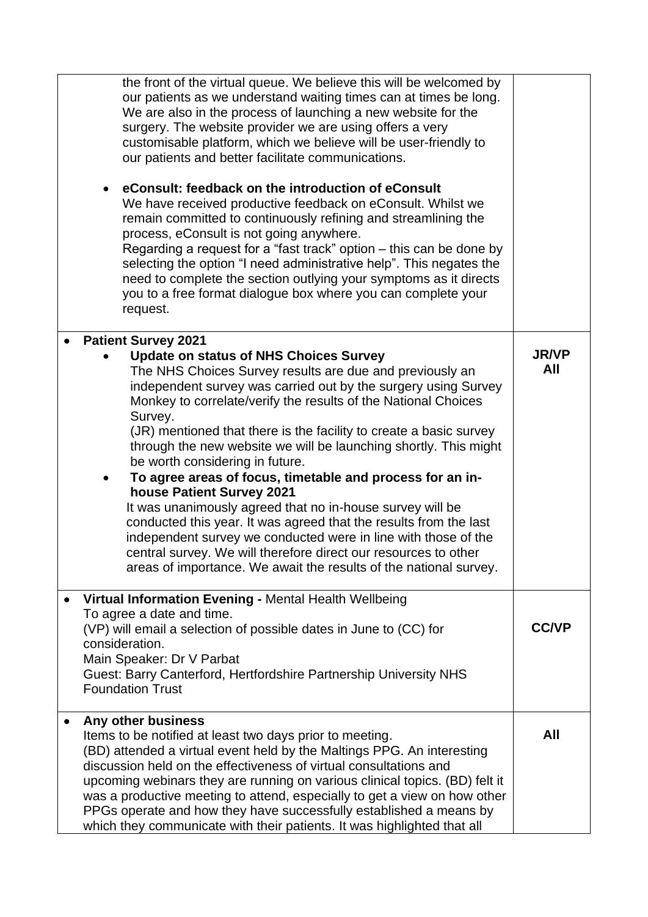| the front of the virtual queue. We believe this will be welcomed by<br>our patients as we understand waiting times can at times be long.<br>We are also in the process of launching a new website for the<br>surgery. The website provider we are using offers a very<br>customisable platform, which we believe will be user-friendly to<br>our patients and better facilitate communications.<br>eConsult: feedback on the introduction of eConsult<br>We have received productive feedback on eConsult. Whilst we<br>remain committed to continuously refining and streamlining the<br>process, eConsult is not going anywhere.<br>Regarding a request for a "fast track" option – this can be done by<br>selecting the option "I need administrative help". This negates the<br>need to complete the section outlying your symptoms as it directs<br>you to a free format dialogue box where you can complete your<br>request. |                     |
|------------------------------------------------------------------------------------------------------------------------------------------------------------------------------------------------------------------------------------------------------------------------------------------------------------------------------------------------------------------------------------------------------------------------------------------------------------------------------------------------------------------------------------------------------------------------------------------------------------------------------------------------------------------------------------------------------------------------------------------------------------------------------------------------------------------------------------------------------------------------------------------------------------------------------------|---------------------|
| <b>Patient Survey 2021</b><br><b>Update on status of NHS Choices Survey</b><br>The NHS Choices Survey results are due and previously an<br>independent survey was carried out by the surgery using Survey<br>Monkey to correlate/verify the results of the National Choices<br>Survey.<br>(JR) mentioned that there is the facility to create a basic survey<br>through the new website we will be launching shortly. This might<br>be worth considering in future.<br>To agree areas of focus, timetable and process for an in-<br>house Patient Survey 2021<br>It was unanimously agreed that no in-house survey will be<br>conducted this year. It was agreed that the results from the last<br>independent survey we conducted were in line with those of the<br>central survey. We will therefore direct our resources to other<br>areas of importance. We await the results of the national survey.                          | <b>JR/VP</b><br>All |
| Virtual Information Evening - Mental Health Wellbeing<br>To agree a date and time.<br>(VP) will email a selection of possible dates in June to (CC) for<br>consideration.<br>Main Speaker: Dr V Parbat<br>Guest: Barry Canterford, Hertfordshire Partnership University NHS<br><b>Foundation Trust</b>                                                                                                                                                                                                                                                                                                                                                                                                                                                                                                                                                                                                                             | <b>CC/VP</b>        |
| Any other business<br>Items to be notified at least two days prior to meeting.<br>(BD) attended a virtual event held by the Maltings PPG. An interesting<br>discussion held on the effectiveness of virtual consultations and<br>upcoming webinars they are running on various clinical topics. (BD) felt it<br>was a productive meeting to attend, especially to get a view on how other<br>PPGs operate and how they have successfully established a means by<br>which they communicate with their patients. It was highlighted that all                                                                                                                                                                                                                                                                                                                                                                                         | All                 |